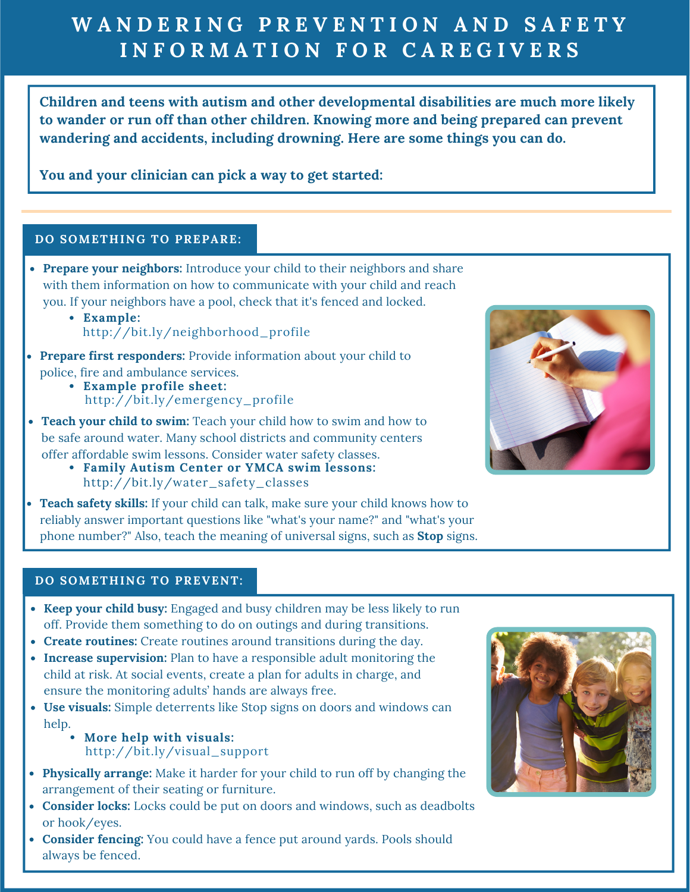# WANDERING PREVENTION AND SAFETY **I N F O R M A T I O N F O R C A R E G I V E R S**

**Children and teens with autism and other developmental disabilities are much more likely to wander or run off than other children. Knowing more and being prepared can prevent wandering and accidents, including drowning. Here are some things you can do.**

**You and your clinician can pick a way to get started:**

#### **DO SOMETHING TO PREPARE:**

- **Prepare your neighbors:** Introduce your child to their neighbors and share with them information on how to [communicate](https://nationalautismassociation.org/personal-emergency-profile-sheet/) with your child and reach you. If your neighbors have a pool, check that it's fenced and locked.
	- **[Example:](http://www.familyautismcenter.com/programs/water-safety-and-swimming)** [http://bit.ly/neighborhood\\_profile](http://www.familyautismcenter.com/programs/water-safety-and-swimming)
- **Prepare first [responders:](https://nationalautismassociation.org/personal-emergency-profile-sheet/)** Provide information about your child to police, fire and ambulance services.
	- **[Example](https://nationalautismassociation.org/personal-emergency-profile-sheet/) profile sheet:** [http://bit.ly/emergency\\_profile](http://www.familyautismcenter.com/programs/water-safety-and-swimming)



- **Teach your child to swim:** Teach your child how to swim and how to be safe around water. Many school districts and [community](https://nationalautismassociation.org/personal-emergency-profile-sheet/) centers offer affordable swim lessons. Consider water safety classes.
	- **Family Autism Center or YMCA swim lessons:** [http://bit.ly/water\\_safety\\_classes](http://www.familyautismcenter.com/programs/water-safety-and-swimming)
- **Teach safety skills:** If your child can talk, make sure your child knows how to  $\bullet$ reliably answer [important](https://nationalautismassociation.org/personal-emergency-profile-sheet/) questions like "what's your name?" and "what's your phone number?" Also, teach the meaning of universal signs, such as **Stop** signs.

#### **DO SOMETHING TO PREVENT:**

- **Keep your child busy:** Engaged and busy children may be less likely to run off. Provide them something to do on outings and during transitions.
- **Create routines:** Create routines around transitions during the day.
- **Increase [supervision:](https://nationalautismassociation.org/personal-emergency-profile-sheet/)** Plan to have a responsible adult monitoring the child at risk. At social events, create a plan for adults in charge, and ensure the monitoring adults' hands are always free.
- **Use visuals:** Simple deterrents like Stop signs on doors and windows can help.
	- [http://bit.ly/visual\\_support](http://www.familyautismcenter.com/programs/water-safety-and-swimming) **More help with [visuals:](http://www.familyautismcenter.com/programs/water-safety-and-swimming)**
- **Physically arrange:** Make it harder for your child to run off by changing the [arrangement](https://nationalautismassociation.org/personal-emergency-profile-sheet/) of their seating or furniture.
- **Consider locks:** Locks could be put on doors and windows, such as deadbolts or hook/eyes.
- **Consider fencing:** You could have a fence put around yards. Pools should always be fenced.